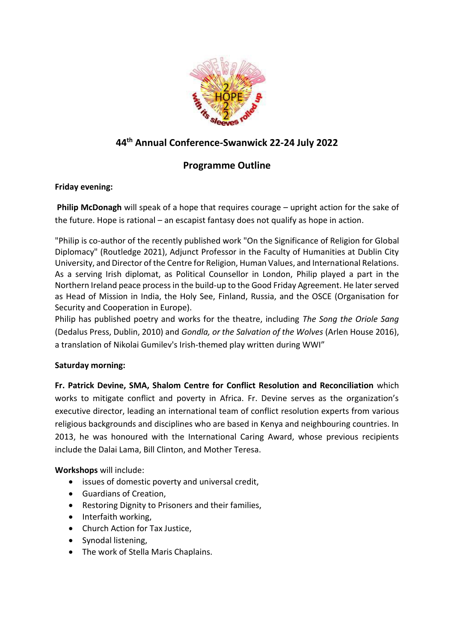

# **44 th Annual Conference-Swanwick 22-24 July 2022**

# **Programme Outline**

### **Friday evening:**

**Philip McDonagh** will speak of a hope that requires courage – upright action for the sake of the future. Hope is rational – an escapist fantasy does not qualify as hope in action.

"Philip is co-author of the recently published work "On the Significance of Religion for Global Diplomacy" (Routledge 2021), Adjunct Professor in the Faculty of Humanities at Dublin City University, and Director of the Centre for Religion, Human Values, and International Relations. As a serving Irish diplomat, as Political Counsellor in London, Philip played a part in the Northern Ireland peace process in the build-up to the Good Friday Agreement. He later served as Head of Mission in India, the Holy See, Finland, Russia, and the OSCE (Organisation for Security and Cooperation in Europe).

Philip has published poetry and works for the theatre, including *The Song the Oriole Sang*  (Dedalus Press, Dublin, 2010) and *Gondla, or the Salvation of the Wolves* (Arlen House 2016), a translation of Nikolai Gumilev's Irish-themed play written during WWI"

## **Saturday morning:**

**Fr. Patrick Devine, SMA, Shalom Centre for Conflict Resolution and Reconciliation** which works to mitigate conflict and poverty in Africa. Fr. Devine serves as the organization's executive director, leading an international team of conflict resolution experts from various religious backgrounds and disciplines who are based in Kenya and neighbouring countries. In 2013, he was honoured with the International Caring Award, whose previous recipients include the Dalai Lama, Bill Clinton, and Mother Teresa.

**Workshops** will include:

- issues of domestic poverty and universal credit,
- Guardians of Creation,
- Restoring Dignity to Prisoners and their families,
- Interfaith working,
- Church Action for Tax Justice,
- Synodal listening,
- The work of Stella Maris Chaplains.